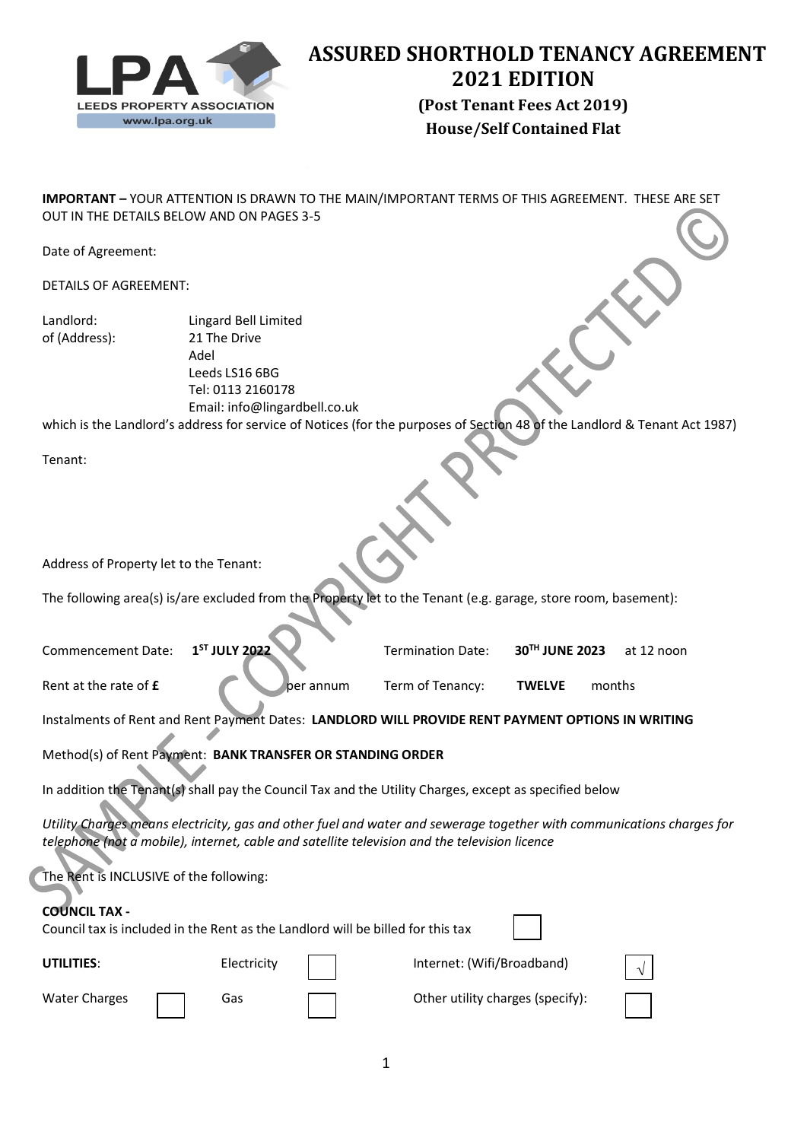

# **ASSURED SHORTHOLD TENANCY AGREEMENT 2021 EDITION**

**House/Self Contained Flat (Post Tenant Fees Act 2019)**

**IMPORTANT –** YOUR ATTENTION IS DRAWN TO THE MAIN/IMPORTANT TERMS OF THIS AGREEMENT. THESE ARE SET OUT IN THE DETAILS BELOW AND ON PAGES 3-5

Date of Agreement:

DETAILS OF AGREEMENT:

Landlord: Lingard Bell Limited of (Address): 21 The Drive Adel Leeds LS16 6BG Tel: 0113 2160178 Email: info@lingardbell.co.uk

which is the Landlord's address for service of Notices (for the purposes of Section 48 of the Landlord & Tenant Act 1987)

Tenant:

Address of Property let to the Tenant:

The following area(s) is/are excluded from the Property let to the Tenant (e.g. garage, store room, basement):

| Commencement Date: 1 <sup>ST</sup> JULY 2022 |           | <b>Termination Date:</b> | $30^{TH}$ JUNE 2023 at 12 noon |        |  |
|----------------------------------------------|-----------|--------------------------|--------------------------------|--------|--|
| Rent at the rate of <b>£</b>                 | per annum | Term of Tenancy:         | <b>TWELVE</b>                  | months |  |

Instalments of Rent and Rent Payment Dates: **LANDLORD WILL PROVIDE RENT PAYMENT OPTIONS IN WRITING**

Method(s) of Rent Payment: **BANK TRANSFER OR STANDING ORDER**

In addition the Tenant(s) shall pay the Council Tax and the Utility Charges, except as specified below

*Utility Charges means electricity, gas and other fuel and water and sewerage together with communications charges for telephone (not a mobile), internet, cable and satellite television and the television licence*

| The Rent is INCLUSIVE of the following:<br><b>COUNCIL TAX -</b><br>Council tax is included in the Rent as the Landlord will be billed for this tax |             |                                  |          |
|----------------------------------------------------------------------------------------------------------------------------------------------------|-------------|----------------------------------|----------|
| UTILITIES:                                                                                                                                         | Electricity | Internet: (Wifi/Broadband)       | $\Delta$ |
| <b>Water Charges</b>                                                                                                                               | Gas         | Other utility charges (specify): |          |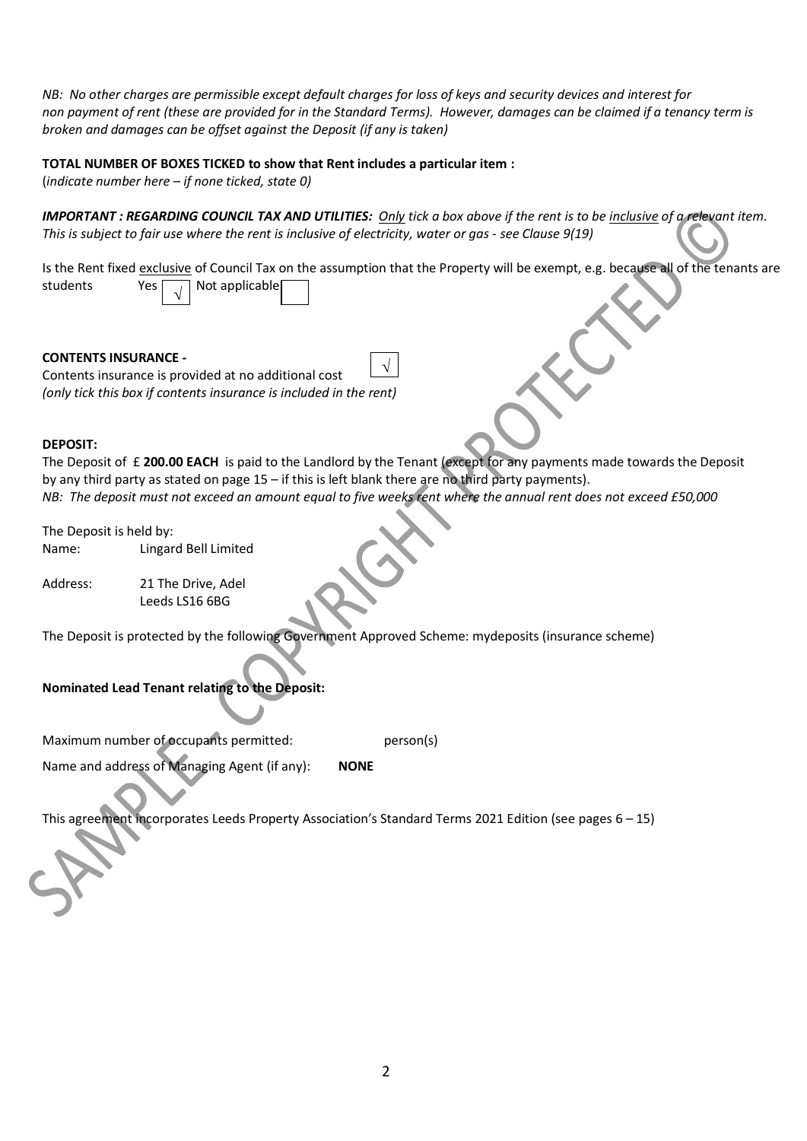*NB: No other charges are permissible except default charges for loss of keys and security devices and interest for non payment of rent (these are provided for in the Standard Terms). However, damages can be claimed if a tenancy term is broken and damages can be offset against the Deposit (if any is taken)*

#### **TOTAL NUMBER OF BOXES TICKED to show that Rent includes a particular item :**

(*indicate number here – if none ticked, state 0)*

*IMPORTANT : REGARDING COUNCIL TAX AND UTILITIES: Only tick a box above if the rent is to be inclusive of a relevant item. This is subject to fair use where the rent is inclusive of electricity, water or gas - see Clause 9(19)*

Is the Rent fixed exclusive of Council Tax on the assumption that the Property will be exempt, e.g. because all of the tenants are students Yes  $\boxed{\phantom{a}}$  Not applicable √

# **CONTENTS INSURANCE -**

Contents insurance is provided at no additional cost *(only tick this box if contents insurance is included in the rent)* √

#### **DEPOSIT:**

The Deposit of £ **200.00 EACH** is paid to the Landlord by the Tenant (except for any payments made towards the Deposit by any third party as stated on page 15 – if this is left blank there are no third party payments). *NB: The deposit must not exceed an amount equal to five weeks rent where the annual rent does not exceed £50,000*

The Deposit is held by:

Name: Lingard Bell Limited

Address: 21 The Drive, Adel Leeds LS16 6BG

The Deposit is protected by the following Government Approved Scheme: mydeposits (insurance scheme)

# **Nominated Lead Tenant relating to the Deposit:**

Maximum number of occupants permitted: person(s)

Name and address of Managing Agent (if any): **NONE**

This agreement incorporates Leeds Property Association's Standard Terms 2021 Edition (see pages 6 – 15)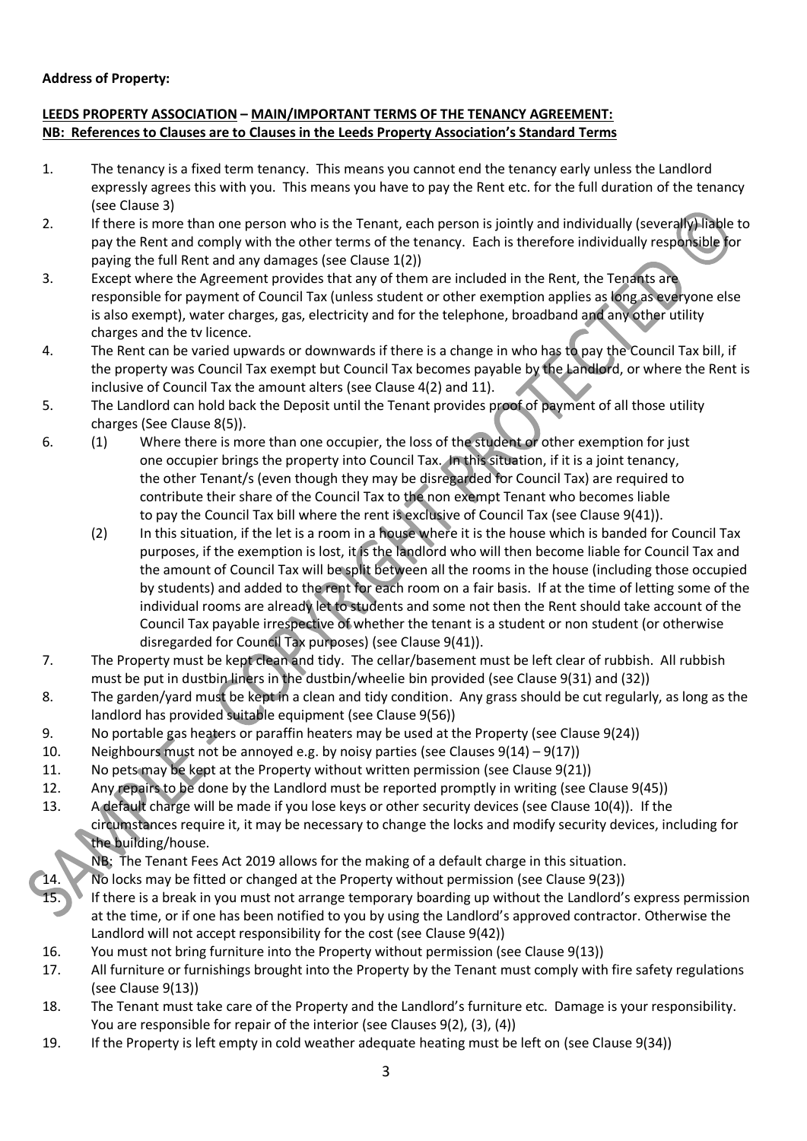# **Address of Property:**

# **LEEDS PROPERTY ASSOCIATION – MAIN/IMPORTANT TERMS OF THE TENANCY AGREEMENT: NB: References to Clauses are to Clauses in the Leeds Property Association's Standard Terms**

- 1. The tenancy is a fixed term tenancy. This means you cannot end the tenancy early unless the Landlord expressly agrees this with you. This means you have to pay the Rent etc. for the full duration of the tenancy (see Clause 3)
- 2. If there is more than one person who is the Tenant, each person is jointly and individually (severally) liable to pay the Rent and comply with the other terms of the tenancy. Each is therefore individually responsible for paying the full Rent and any damages (see Clause 1(2))
- 3. Except where the Agreement provides that any of them are included in the Rent, the Tenants are responsible for payment of Council Tax (unless student or other exemption applies as long as everyone else is also exempt), water charges, gas, electricity and for the telephone, broadband and any other utility charges and the tv licence.
- 4. The Rent can be varied upwards or downwards if there is a change in who has to pay the Council Tax bill, if the property was Council Tax exempt but Council Tax becomes payable by the Landlord, or where the Rent is inclusive of Council Tax the amount alters (see Clause 4(2) and 11).
- 5. The Landlord can hold back the Deposit until the Tenant provides proof of payment of all those utility charges (See Clause 8(5)).
- 6. (1) Where there is more than one occupier, the loss of the student or other exemption for just one occupier brings the property into Council Tax. In this situation, if it is a joint tenancy, the other Tenant/s (even though they may be disregarded for Council Tax) are required to contribute their share of the Council Tax to the non exempt Tenant who becomes liable to pay the Council Tax bill where the rent is exclusive of Council Tax (see Clause 9(41)).
	- (2) In this situation, if the let is a room in a house where it is the house which is banded for Council Tax purposes, if the exemption is lost, it is the landlord who will then become liable for Council Tax and the amount of Council Tax will be split between all the rooms in the house (including those occupied by students) and added to the rent for each room on a fair basis. If at the time of letting some of the individual rooms are already let to students and some not then the Rent should take account of the Council Tax payable irrespective of whether the tenant is a student or non student (or otherwise disregarded for Council Tax purposes) (see Clause 9(41)).
- 7. The Property must be kept clean and tidy. The cellar/basement must be left clear of rubbish. All rubbish must be put in dustbin liners in the dustbin/wheelie bin provided (see Clause 9(31) and (32))
- 8. The garden/yard must be kept in a clean and tidy condition. Any grass should be cut regularly, as long as the landlord has provided suitable equipment (see Clause 9(56))
- 9. No portable gas heaters or paraffin heaters may be used at the Property (see Clause 9(24))
- 10. Neighbours must not be annoyed e.g. by noisy parties (see Clauses 9(14) 9(17))
- 11. No pets may be kept at the Property without written permission (see Clause 9(21))
- 12. Any repairs to be done by the Landlord must be reported promptly in writing (see Clause 9(45))
- 13. A default charge will be made if you lose keys or other security devices (see Clause 10(4)). If the circumstances require it, it may be necessary to change the locks and modify security devices, including for the building/house.
	- NB: The Tenant Fees Act 2019 allows for the making of a default charge in this situation.
- 14. No locks may be fitted or changed at the Property without permission (see Clause 9(23))
- 15. If there is a break in you must not arrange temporary boarding up without the Landlord's express permission at the time, or if one has been notified to you by using the Landlord's approved contractor. Otherwise the Landlord will not accept responsibility for the cost (see Clause 9(42))
- 16. You must not bring furniture into the Property without permission (see Clause 9(13))
- 17. All furniture or furnishings brought into the Property by the Tenant must comply with fire safety regulations (see Clause 9(13))
- 18. The Tenant must take care of the Property and the Landlord's furniture etc. Damage is your responsibility. You are responsible for repair of the interior (see Clauses 9(2), (3), (4))
- 19. If the Property is left empty in cold weather adequate heating must be left on (see Clause 9(34))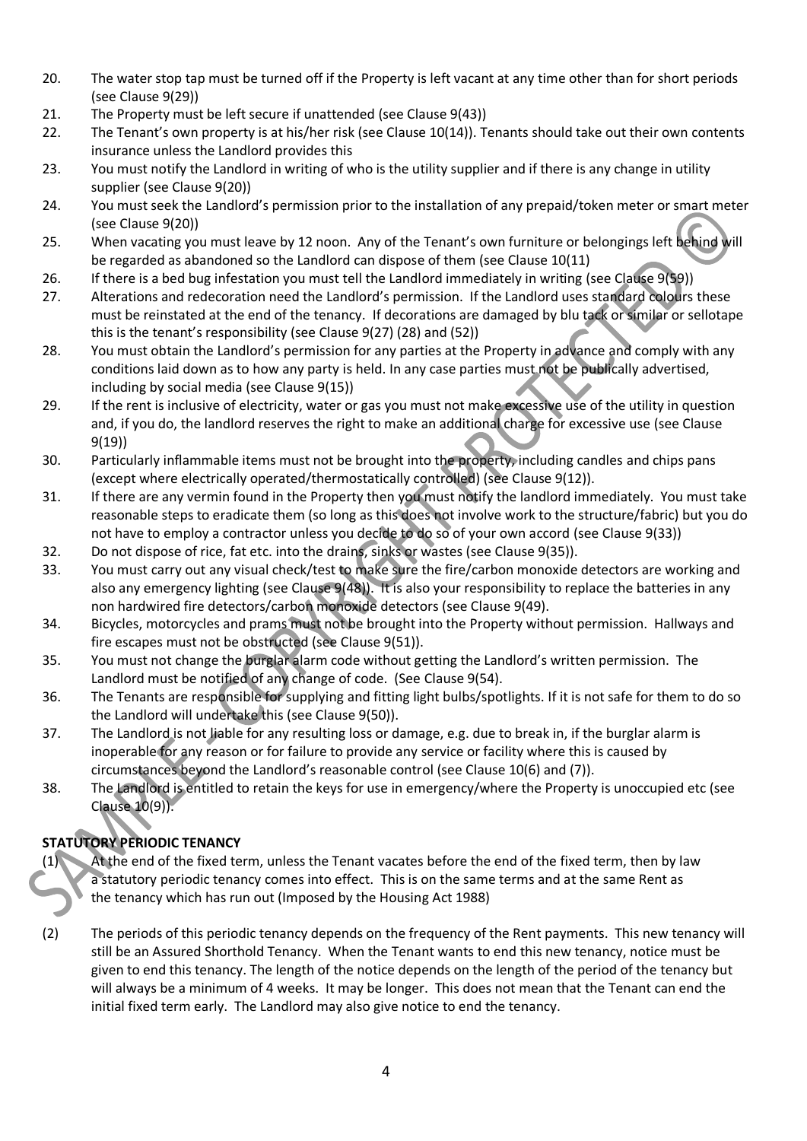- 20. The water stop tap must be turned off if the Property is left vacant at any time other than for short periods (see Clause 9(29))
- 21. The Property must be left secure if unattended (see Clause 9(43))
- 22. The Tenant's own property is at his/her risk (see Clause 10(14)). Tenants should take out their own contents insurance unless the Landlord provides this
- 23. You must notify the Landlord in writing of who is the utility supplier and if there is any change in utility supplier (see Clause 9(20))
- 24. You must seek the Landlord's permission prior to the installation of any prepaid/token meter or smart meter (see Clause 9(20))
- 25. When vacating you must leave by 12 noon. Any of the Tenant's own furniture or belongings left behind will be regarded as abandoned so the Landlord can dispose of them (see Clause 10(11)
- 26. If there is a bed bug infestation you must tell the Landlord immediately in writing (see Clause 9(59))
- 27. Alterations and redecoration need the Landlord's permission. If the Landlord uses standard colours these must be reinstated at the end of the tenancy. If decorations are damaged by blu tack or similar or sellotape this is the tenant's responsibility (see Clause 9(27) (28) and (52))
- 28. You must obtain the Landlord's permission for any parties at the Property in advance and comply with any conditions laid down as to how any party is held. In any case parties must not be publically advertised, including by social media (see Clause 9(15))
- 29. If the rent is inclusive of electricity, water or gas you must not make excessive use of the utility in question and, if you do, the landlord reserves the right to make an additional charge for excessive use (see Clause 9(19))
- 30. Particularly inflammable items must not be brought into the property, including candles and chips pans (except where electrically operated/thermostatically controlled) (see Clause 9(12)).
- 31. If there are any vermin found in the Property then you must notify the landlord immediately. You must take reasonable steps to eradicate them (so long as this does not involve work to the structure/fabric) but you do not have to employ a contractor unless you decide to do so of your own accord (see Clause 9(33))
- 32. Do not dispose of rice, fat etc. into the drains, sinks or wastes (see Clause 9(35)).
- 33. You must carry out any visual check/test to make sure the fire/carbon monoxide detectors are working and also any emergency lighting (see Clause 9(48)). It is also your responsibility to replace the batteries in any non hardwired fire detectors/carbon monoxide detectors (see Clause 9(49).
- 34. Bicycles, motorcycles and prams must not be brought into the Property without permission. Hallways and fire escapes must not be obstructed (see Clause 9(51)).
- 35. You must not change the burglar alarm code without getting the Landlord's written permission. The Landlord must be notified of any change of code. (See Clause 9(54).
- 36. The Tenants are responsible for supplying and fitting light bulbs/spotlights. If it is not safe for them to do so the Landlord will undertake this (see Clause 9(50)).
- 37. The Landlord is not liable for any resulting loss or damage, e.g. due to break in, if the burglar alarm is inoperable for any reason or for failure to provide any service or facility where this is caused by circumstances beyond the Landlord's reasonable control (see Clause 10(6) and (7)).
- 38. The Landlord is entitled to retain the keys for use in emergency/where the Property is unoccupied etc (see Clause 10(9)).

# **STATUTORY PERIODIC TENANCY**

- (1) At the end of the fixed term, unless the Tenant vacates before the end of the fixed term, then by law a statutory periodic tenancy comes into effect. This is on the same terms and at the same Rent as the tenancy which has run out (Imposed by the Housing Act 1988)
- (2) The periods of this periodic tenancy depends on the frequency of the Rent payments. This new tenancy will still be an Assured Shorthold Tenancy. When the Tenant wants to end this new tenancy, notice must be given to end this tenancy. The length of the notice depends on the length of the period of the tenancy but will always be a minimum of 4 weeks. It may be longer. This does not mean that the Tenant can end the initial fixed term early. The Landlord may also give notice to end the tenancy.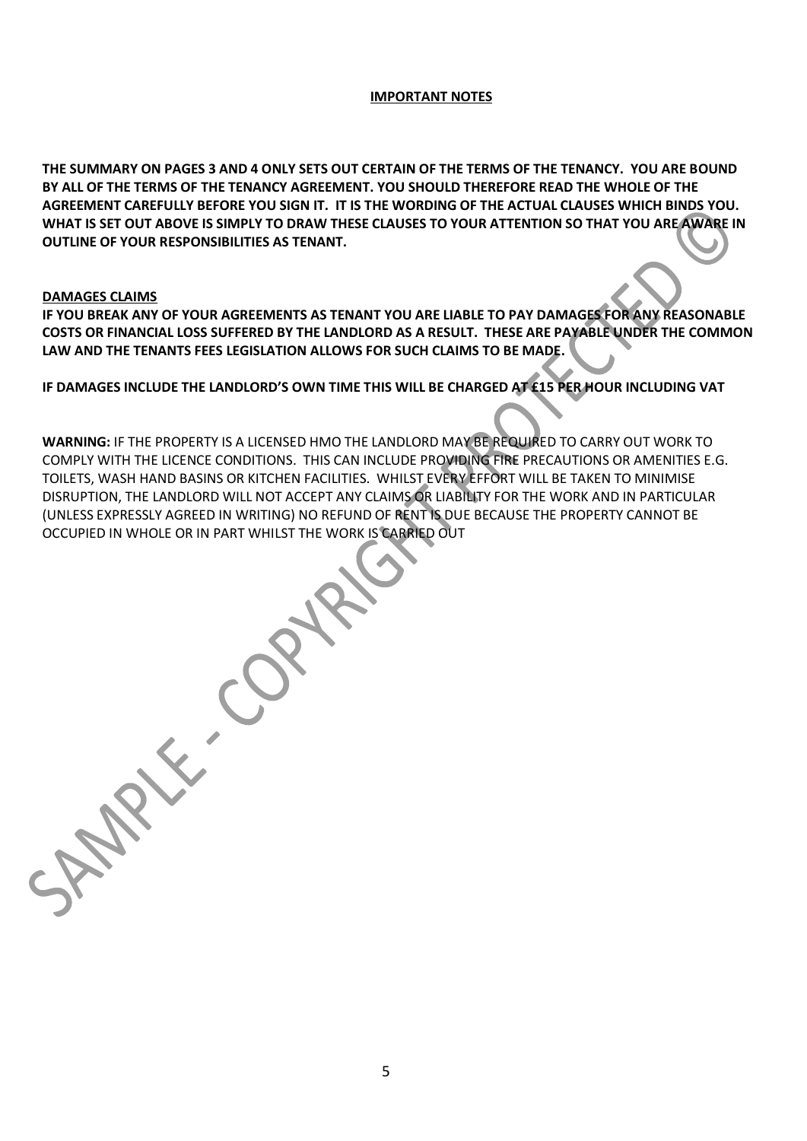#### **IMPORTANT NOTES**

**THE SUMMARY ON PAGES 3 AND 4 ONLY SETS OUT CERTAIN OF THE TERMS OF THE TENANCY. YOU ARE BOUND BY ALL OF THE TERMS OF THE TENANCY AGREEMENT. YOU SHOULD THEREFORE READ THE WHOLE OF THE AGREEMENT CAREFULLY BEFORE YOU SIGN IT. IT IS THE WORDING OF THE ACTUAL CLAUSES WHICH BINDS YOU. WHAT IS SET OUT ABOVE IS SIMPLY TO DRAW THESE CLAUSES TO YOUR ATTENTION SO THAT YOU ARE AWARE IN OUTLINE OF YOUR RESPONSIBILITIES AS TENANT.**

#### **DAMAGES CLAIMS**

 $\begin{pmatrix} 1 & 1 \\ 1 & 1 \\ 1 & 1 \end{pmatrix}$ 

**IF YOU BREAK ANY OF YOUR AGREEMENTS AS TENANT YOU ARE LIABLE TO PAY DAMAGES FOR ANY REASONABLE COSTS OR FINANCIAL LOSS SUFFERED BY THE LANDLORD AS A RESULT. THESE ARE PAYABLE UNDER THE COMMON LAW AND THE TENANTS FEES LEGISLATION ALLOWS FOR SUCH CLAIMS TO BE MADE.** 

# **IF DAMAGES INCLUDE THE LANDLORD'S OWN TIME THIS WILL BE CHARGED AT £15 PER HOUR INCLUDING VAT**

**WARNING:** IF THE PROPERTY IS A LICENSED HMO THE LANDLORD MAY BE REQUIRED TO CARRY OUT WORK TO COMPLY WITH THE LICENCE CONDITIONS. THIS CAN INCLUDE PROVIDING FIRE PRECAUTIONS OR AMENITIES E.G. TOILETS, WASH HAND BASINS OR KITCHEN FACILITIES. WHILST EVERY EFFORT WILL BE TAKEN TO MINIMISE DISRUPTION, THE LANDLORD WILL NOT ACCEPT ANY CLAIMS OR LIABILITY FOR THE WORK AND IN PARTICULAR (UNLESS EXPRESSLY AGREED IN WRITING) NO REFUND OF RENT IS DUE BECAUSE THE PROPERTY CANNOT BE OCCUPIED IN WHOLE OR IN PART WHILST THE WORK IS CARRIED OUT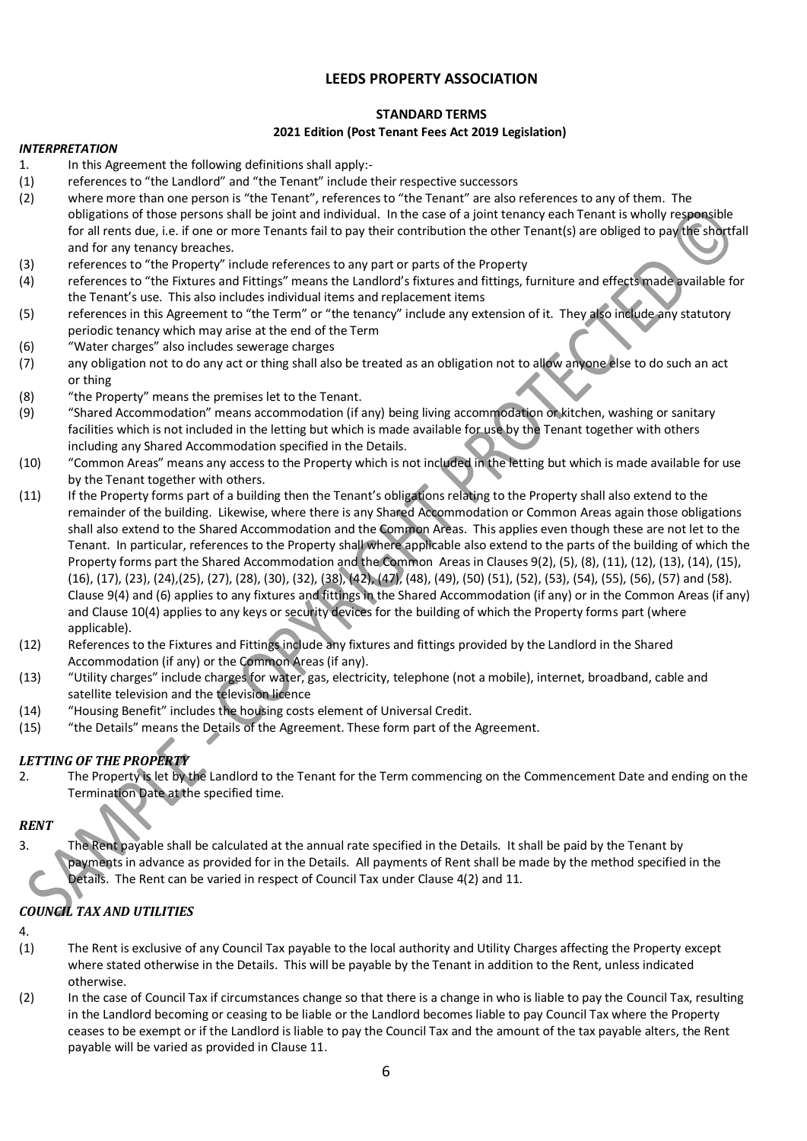# **LEEDS PROPERTY ASSOCIATION**

# **STANDARD TERMS**

# **2021 Edition (Post Tenant Fees Act 2019 Legislation)**

#### *INTERPRETATION*

- 1. In this Agreement the following definitions shall apply:-
- (1) references to "the Landlord" and "the Tenant" include their respective successors
- (2) where more than one person is "the Tenant", references to "the Tenant" are also references to any of them. The obligations of those persons shall be joint and individual. In the case of a joint tenancy each Tenant is wholly responsible for all rents due, i.e. if one or more Tenants fail to pay their contribution the other Tenant(s) are obliged to pay the shortfall and for any tenancy breaches.
- (3) references to "the Property" include references to any part or parts of the Property
- (4) references to "the Fixtures and Fittings" means the Landlord's fixtures and fittings, furniture and effects made available for the Tenant's use. This also includes individual items and replacement items
- (5) references in this Agreement to "the Term" or "the tenancy" include any extension of it. They also include any statutory periodic tenancy which may arise at the end of the Term
- (6) "Water charges" also includes sewerage charges
- (7) any obligation not to do any act or thing shall also be treated as an obligation not to allow anyone else to do such an act or thing
- (8) "the Property" means the premises let to the Tenant.
- (9) "Shared Accommodation" means accommodation (if any) being living accommodation or kitchen, washing or sanitary facilities which is not included in the letting but which is made available for use by the Tenant together with others including any Shared Accommodation specified in the Details.
- (10) "Common Areas" means any access to the Property which is not included in the letting but which is made available for use by the Tenant together with others.
- (11) If the Property forms part of a building then the Tenant's obligations relating to the Property shall also extend to the remainder of the building. Likewise, where there is any Shared Accommodation or Common Areas again those obligations shall also extend to the Shared Accommodation and the Common Areas. This applies even though these are not let to the Tenant. In particular, references to the Property shall where applicable also extend to the parts of the building of which the Property forms part the Shared Accommodation and the Common Areas in Clauses 9(2), (5), (8), (11), (12), (13), (14), (15), (16), (17), (23), (24),(25), (27), (28), (30), (32), (38), (42), (47), (48), (49), (50) (51), (52), (53), (54), (55), (56), (57) and (58). Clause 9(4) and (6) applies to any fixtures and fittings in the Shared Accommodation (if any) or in the Common Areas (if any) and Clause 10(4) applies to any keys or security devices for the building of which the Property forms part (where applicable).
- (12) References to the Fixtures and Fittings include any fixtures and fittings provided by the Landlord in the Shared Accommodation (if any) or the Common Areas (if any).
- (13) "Utility charges" include charges for water, gas, electricity, telephone (not a mobile), internet, broadband, cable and satellite television and the television licence
- (14) "Housing Benefit" includes the housing costs element of Universal Credit.
- (15) "the Details" means the Details of the Agreement. These form part of the Agreement.

# *LETTING OF THE PROPERTY*

2. The Property is let by the Landlord to the Tenant for the Term commencing on the Commencement Date and ending on the Termination Date at the specified time.

# *RENT*

3. The Rent payable shall be calculated at the annual rate specified in the Details. It shall be paid by the Tenant by payments in advance as provided for in the Details. All payments of Rent shall be made by the method specified in the Details. The Rent can be varied in respect of Council Tax under Clause 4(2) and 11.

# *COUNCIL TAX AND UTILITIES*

#### 4.

- (1) The Rent is exclusive of any Council Tax payable to the local authority and Utility Charges affecting the Property except where stated otherwise in the Details. This will be payable by the Tenant in addition to the Rent, unless indicated otherwise.
- (2) In the case of Council Tax if circumstances change so that there is a change in who is liable to pay the Council Tax, resulting in the Landlord becoming or ceasing to be liable or the Landlord becomes liable to pay Council Tax where the Property ceases to be exempt or if the Landlord is liable to pay the Council Tax and the amount of the tax payable alters, the Rent payable will be varied as provided in Clause 11.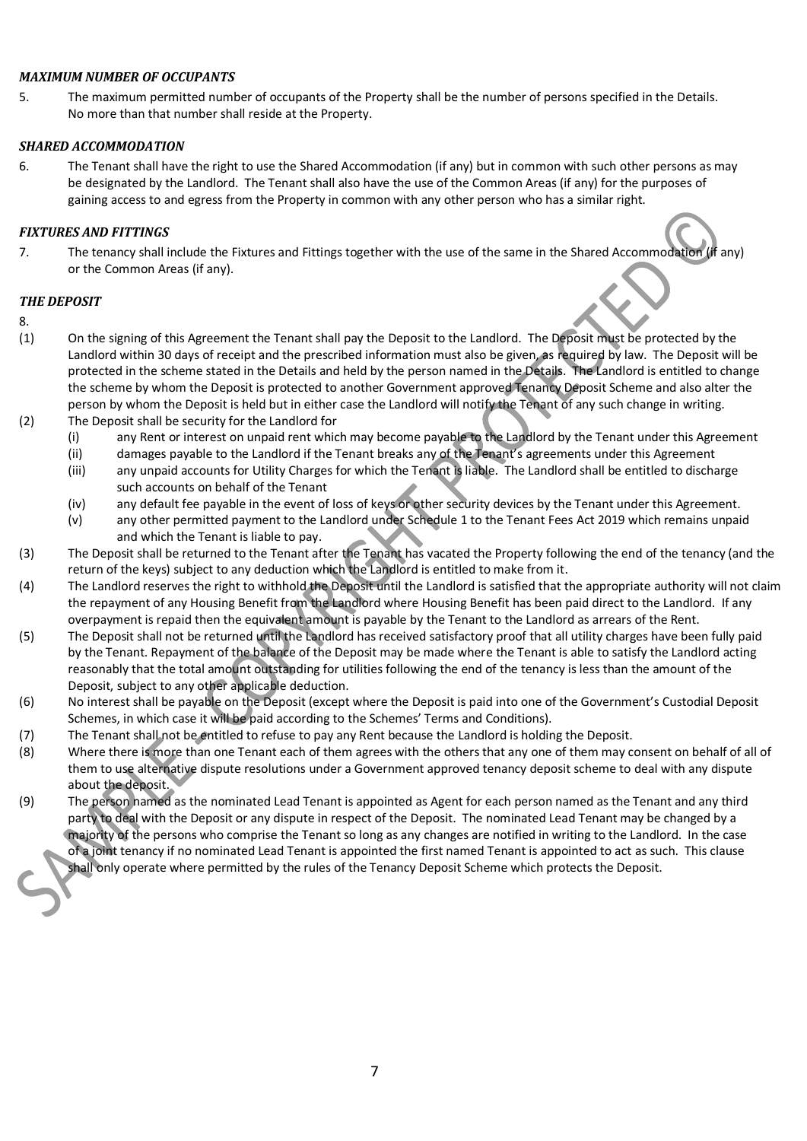#### *MAXIMUM NUMBER OF OCCUPANTS*

5. The maximum permitted number of occupants of the Property shall be the number of persons specified in the Details. No more than that number shall reside at the Property.

#### *SHARED ACCOMMODATION*

6. The Tenant shall have the right to use the Shared Accommodation (if any) but in common with such other persons as may be designated by the Landlord. The Tenant shall also have the use of the Common Areas (if any) for the purposes of gaining access to and egress from the Property in common with any other person who has a similar right.

#### *FIXTURES AND FITTINGS*

7. The tenancy shall include the Fixtures and Fittings together with the use of the same in the Shared Accommodation (if any) or the Common Areas (if any).

#### *THE DEPOSIT*

- 8.
- (1) On the signing of this Agreement the Tenant shall pay the Deposit to the Landlord. The Deposit must be protected by the Landlord within 30 days of receipt and the prescribed information must also be given, as required by law. The Deposit will be protected in the scheme stated in the Details and held by the person named in the Details. The Landlord is entitled to change the scheme by whom the Deposit is protected to another Government approved Tenancy Deposit Scheme and also alter the person by whom the Deposit is held but in either case the Landlord will notify the Tenant of any such change in writing.
- (2) The Deposit shall be security for the Landlord for
	- (i) any Rent or interest on unpaid rent which may become payable to the Landlord by the Tenant under this Agreement
	- (ii) damages payable to the Landlord if the Tenant breaks any of the Tenant's agreements under this Agreement
	- (iii) any unpaid accounts for Utility Charges for which the Tenant is liable. The Landlord shall be entitled to discharge such accounts on behalf of the Tenant
	- (iv) any default fee payable in the event of loss of keys or other security devices by the Tenant under this Agreement.
	- (v) any other permitted payment to the Landlord under Schedule 1 to the Tenant Fees Act 2019 which remains unpaid and which the Tenant is liable to pay.
- (3) The Deposit shall be returned to the Tenant after the Tenant has vacated the Property following the end of the tenancy (and the return of the keys) subject to any deduction which the Landlord is entitled to make from it.
- (4) The Landlord reserves the right to withhold the Deposit until the Landlord is satisfied that the appropriate authority will not claim the repayment of any Housing Benefit from the Landlord where Housing Benefit has been paid direct to the Landlord. If any overpayment is repaid then the equivalent amount is payable by the Tenant to the Landlord as arrears of the Rent.
- (5) The Deposit shall not be returned until the Landlord has received satisfactory proof that all utility charges have been fully paid by the Tenant. Repayment of the balance of the Deposit may be made where the Tenant is able to satisfy the Landlord acting reasonably that the total amount outstanding for utilities following the end of the tenancy is less than the amount of the Deposit, subject to any other applicable deduction.
- (6) No interest shall be payable on the Deposit (except where the Deposit is paid into one of the Government's Custodial Deposit Schemes, in which case it will be paid according to the Schemes' Terms and Conditions).
- (7) The Tenant shall not be entitled to refuse to pay any Rent because the Landlord is holding the Deposit.
- (8) Where there is more than one Tenant each of them agrees with the others that any one of them may consent on behalf of all of them to use alternative dispute resolutions under a Government approved tenancy deposit scheme to deal with any dispute about the deposit.
- (9) The person named as the nominated Lead Tenant is appointed as Agent for each person named as the Tenant and any third party to deal with the Deposit or any dispute in respect of the Deposit. The nominated Lead Tenant may be changed by a majority of the persons who comprise the Tenant so long as any changes are notified in writing to the Landlord. In the case of a joint tenancy if no nominated Lead Tenant is appointed the first named Tenant is appointed to act as such. This clause
	- shall only operate where permitted by the rules of the Tenancy Deposit Scheme which protects the Deposit.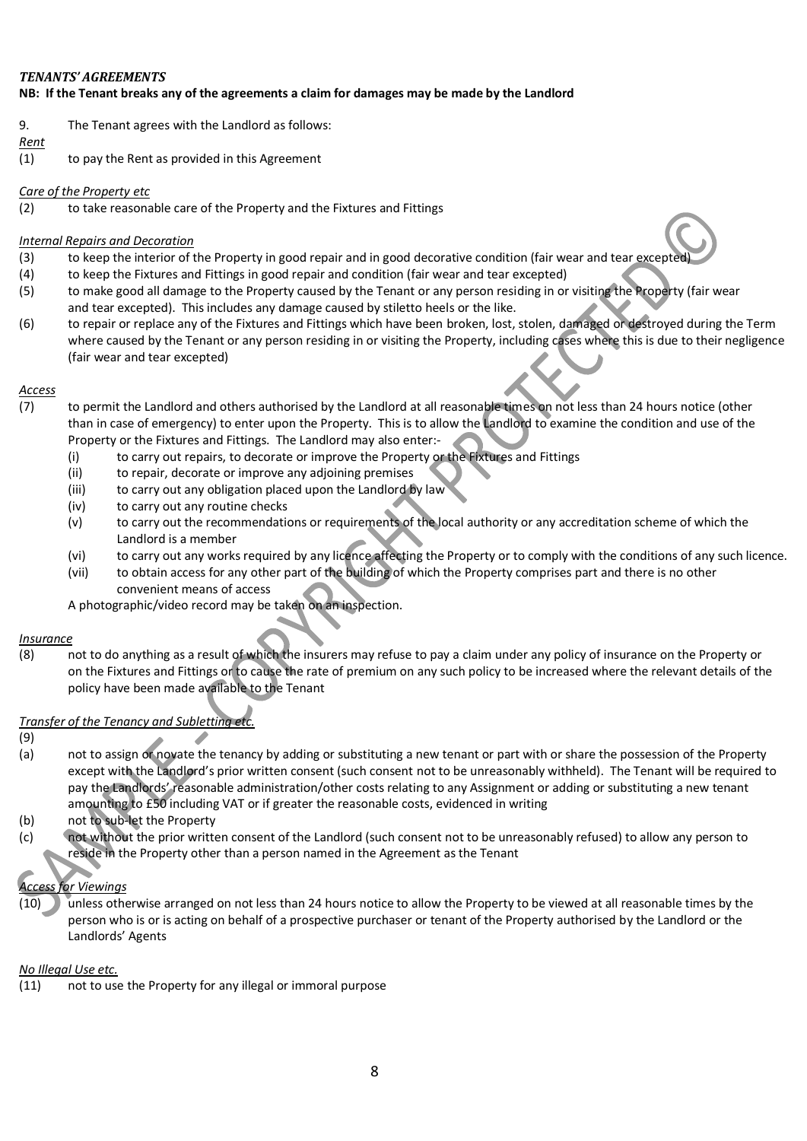# *TENANTS' AGREEMENTS* **NB: If the Tenant breaks any of the agreements a claim for damages may be made by the Landlord**

9. The Tenant agrees with the Landlord as follows:

# *Rent*

(1) to pay the Rent as provided in this Agreement

# *Care of the Property etc*

(2) to take reasonable care of the Property and the Fixtures and Fittings

# *Internal Repairs and Decoration*

- (3) to keep the interior of the Property in good repair and in good decorative condition (fair wear and tear excepte
- (4) to keep the Fixtures and Fittings in good repair and condition (fair wear and tear excepted)
- (5) to make good all damage to the Property caused by the Tenant or any person residing in or visiting the Property (fair wear and tear excepted). This includes any damage caused by stiletto heels or the like.
- (6) to repair or replace any of the Fixtures and Fittings which have been broken, lost, stolen, damaged or destroyed during the Term where caused by the Tenant or any person residing in or visiting the Property, including cases where this is due to their negligence (fair wear and tear excepted)

# *Access*

- (7) to permit the Landlord and others authorised by the Landlord at all reasonable times on not less than 24 hours notice (other than in case of emergency) to enter upon the Property. This is to allow the Landlord to examine the condition and use of the Property or the Fixtures and Fittings. The Landlord may also enter:-
	- (i) to carry out repairs, to decorate or improve the Property or the Fixtures and Fittings
	- (ii) to repair, decorate or improve any adjoining premises
	- (iii) to carry out any obligation placed upon the Landlord by law
	- (iv) to carry out any routine checks
	- (v) to carry out the recommendations or requirements of the local authority or any accreditation scheme of which the Landlord is a member
	- (vi) to carry out any works required by any licence affecting the Property or to comply with the conditions of any such licence.
	- (vii) to obtain access for any other part of the building of which the Property comprises part and there is no other convenient means of access

A photographic/video record may be taken on an inspection.

# *Insurance*

(8) not to do anything as a result of which the insurers may refuse to pay a claim under any policy of insurance on the Property or on the Fixtures and Fittings or to cause the rate of premium on any such policy to be increased where the relevant details of the policy have been made available to the Tenant

# *Transfer of the Tenancy and Subletting etc.*

- (9)
- (a) not to assign or novate the tenancy by adding or substituting a new tenant or part with or share the possession of the Property except with the Landlord's prior written consent (such consent not to be unreasonably withheld). The Tenant will be required to pay the Landlords' reasonable administration/other costs relating to any Assignment or adding or substituting a new tenant amounting to £50 including VAT or if greater the reasonable costs, evidenced in writing
- (b) not to sub-let the Property
- (c) not without the prior written consent of the Landlord (such consent not to be unreasonably refused) to allow any person to reside in the Property other than a person named in the Agreement as the Tenant

# *Access for Viewings*

(10) unless otherwise arranged on not less than 24 hours notice to allow the Property to be viewed at all reasonable times by the person who is or is acting on behalf of a prospective purchaser or tenant of the Property authorised by the Landlord or the Landlords' Agents

# *No Illegal Use etc.*

(11) not to use the Property for any illegal or immoral purpose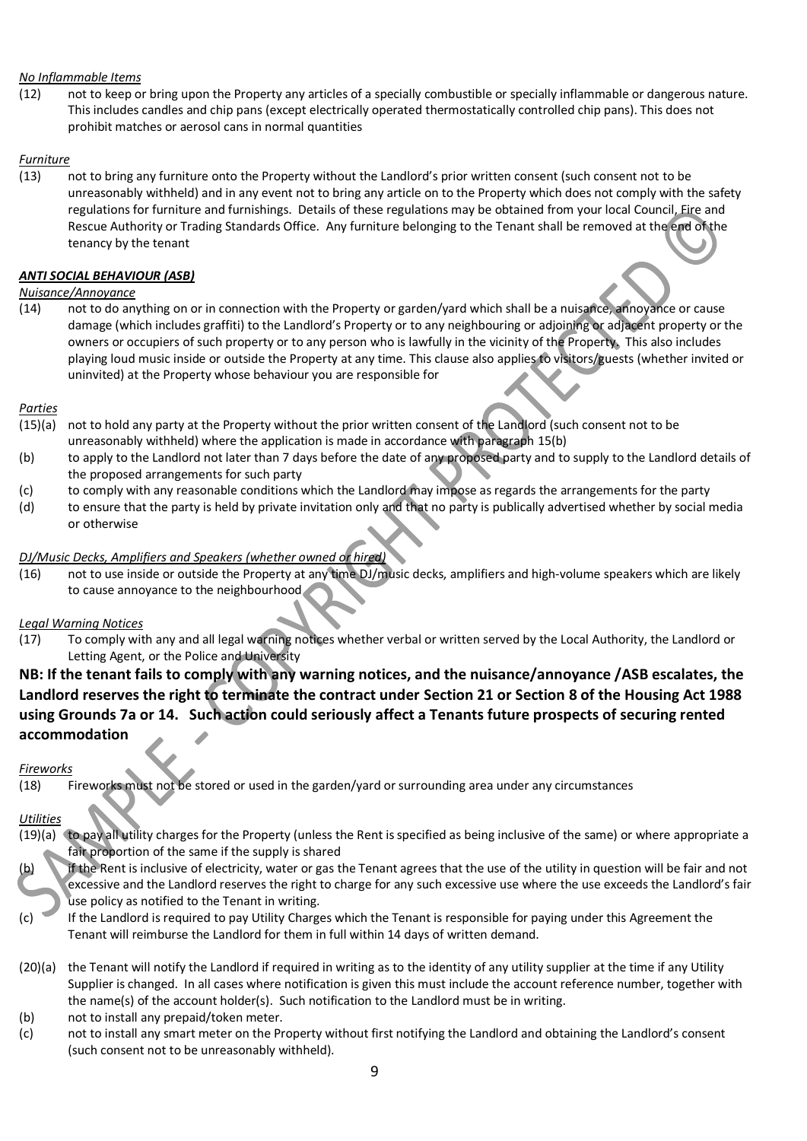# *No Inflammable Items*

(12) not to keep or bring upon the Property any articles of a specially combustible or specially inflammable or dangerous nature. This includes candles and chip pans (except electrically operated thermostatically controlled chip pans). This does not prohibit matches or aerosol cans in normal quantities

# *Furniture*

(13) not to bring any furniture onto the Property without the Landlord's prior written consent (such consent not to be unreasonably withheld) and in any event not to bring any article on to the Property which does not comply with the safety regulations for furniture and furnishings. Details of these regulations may be obtained from your local Council, Fire and Rescue Authority or Trading Standards Office. Any furniture belonging to the Tenant shall be removed at the end of the tenancy by the tenant

#### *ANTI SOCIAL BEHAVIOUR (ASB)*

#### *Nuisance/Annoyance*

(14) not to do anything on or in connection with the Property or garden/yard which shall be a nuisance, annoyance or cause damage (which includes graffiti) to the Landlord's Property or to any neighbouring or adjoining or adjacent property or the owners or occupiers of such property or to any person who is lawfully in the vicinity of the Property. This also includes playing loud music inside or outside the Property at any time. This clause also applies to visitors/guests (whether invited or uninvited) at the Property whose behaviour you are responsible for

#### *Parties*

- (15)(a) not to hold any party at the Property without the prior written consent of the Landlord (such consent not to be unreasonably withheld) where the application is made in accordance with paragraph 15(b)
- (b) to apply to the Landlord not later than 7 days before the date of any proposed party and to supply to the Landlord details of the proposed arrangements for such party
- (c) to comply with any reasonable conditions which the Landlord may impose as regards the arrangements for the party
- (d) to ensure that the party is held by private invitation only and that no party is publically advertised whether by social media or otherwise

#### *DJ/Music Decks, Amplifiers and Speakers (whether owned or hired)*

(16) not to use inside or outside the Property at any time DJ/music decks, amplifiers and high-volume speakers which are likely to cause annoyance to the neighbourhood

# *Legal Warning Notices*

(17) To comply with any and all legal warning notices whether verbal or written served by the Local Authority, the Landlord or Letting Agent, or the Police and University

# **NB: If the tenant fails to comply with any warning notices, and the nuisance/annoyance /ASB escalates, the Landlord reserves the right to terminate the contract under Section 21 or Section 8 of the Housing Act 1988 using Grounds 7a or 14. Such action could seriously affect a Tenants future prospects of securing rented accommodation**

#### *Fireworks*

(18) Fireworks must not be stored or used in the garden/yard or surrounding area under any circumstances

# *Utilities*

- (19)(a) to pay all utility charges for the Property (unless the Rent is specified as being inclusive of the same) or where appropriate a fair proportion of the same if the supply is shared
- if the Rent is inclusive of electricity, water or gas the Tenant agrees that the use of the utility in question will be fair and not excessive and the Landlord reserves the right to charge for any such excessive use where the use exceeds the Landlord's fair use policy as notified to the Tenant in writing.
- (c) If the Landlord is required to pay Utility Charges which the Tenant is responsible for paying under this Agreement the Tenant will reimburse the Landlord for them in full within 14 days of written demand.
- (20)(a) the Tenant will notify the Landlord if required in writing as to the identity of any utility supplier at the time if any Utility Supplier is changed. In all cases where notification is given this must include the account reference number, together with the name(s) of the account holder(s). Such notification to the Landlord must be in writing.
- (b) not to install any prepaid/token meter.
- (c) not to install any smart meter on the Property without first notifying the Landlord and obtaining the Landlord's consent (such consent not to be unreasonably withheld).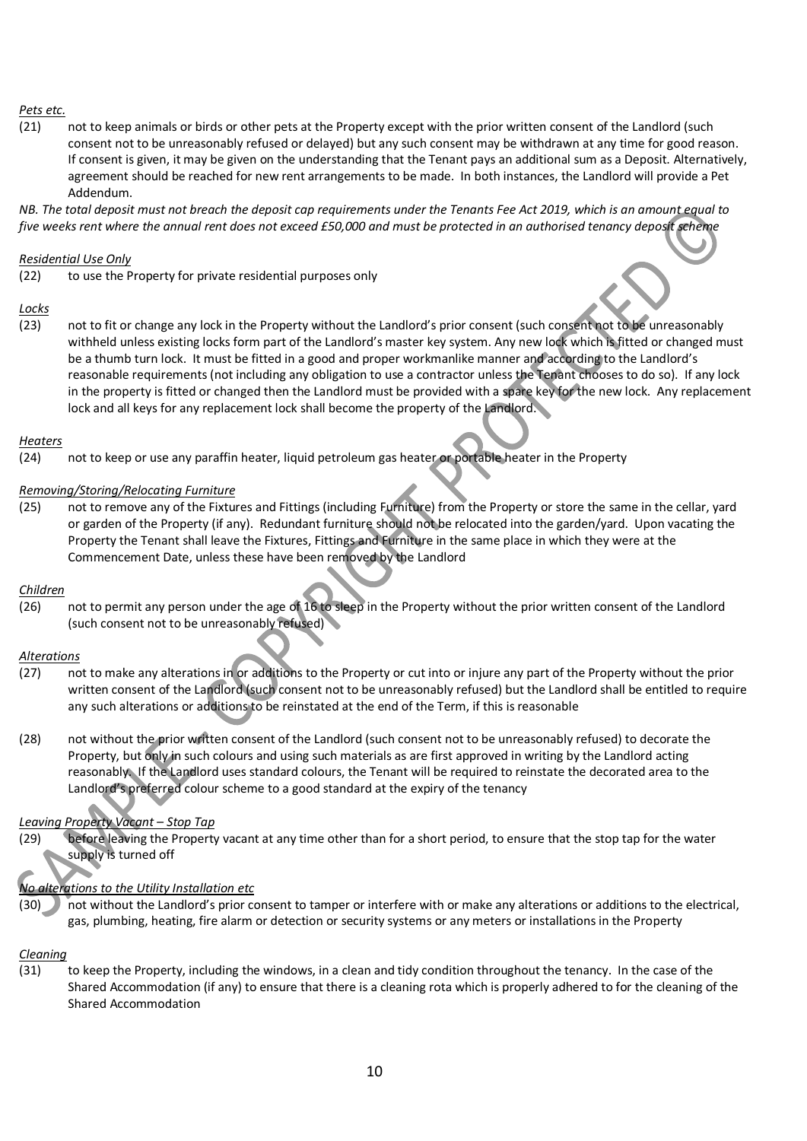#### *Pets etc.*

(21) not to keep animals or birds or other pets at the Property except with the prior written consent of the Landlord (such consent not to be unreasonably refused or delayed) but any such consent may be withdrawn at any time for good reason. If consent is given, it may be given on the understanding that the Tenant pays an additional sum as a Deposit. Alternatively, agreement should be reached for new rent arrangements to be made. In both instances, the Landlord will provide a Pet Addendum.

*NB. The total deposit must not breach the deposit cap requirements under the Tenants Fee Act 2019, which is an amount equal to five weeks rent where the annual rent does not exceed £50,000 and must be protected in an authorised tenancy deposit scheme*

#### *Residential Use Only*

(22) to use the Property for private residential purposes only

#### *Locks*

(23) not to fit or change any lock in the Property without the Landlord's prior consent (such consent not to be unreasonably withheld unless existing locks form part of the Landlord's master key system. Any new lock which is fitted or changed must be a thumb turn lock. It must be fitted in a good and proper workmanlike manner and according to the Landlord's reasonable requirements (not including any obligation to use a contractor unless the Tenant chooses to do so). If any lock in the property is fitted or changed then the Landlord must be provided with a spare key for the new lock. Any replacement lock and all keys for any replacement lock shall become the property of the Landlord.

# *Heaters*

(24) not to keep or use any paraffin heater, liquid petroleum gas heater or portable heater in the Property

#### *Removing/Storing/Relocating Furniture*

(25) not to remove any of the Fixtures and Fittings (including Furniture) from the Property or store the same in the cellar, yard or garden of the Property (if any). Redundant furniture should not be relocated into the garden/yard. Upon vacating the Property the Tenant shall leave the Fixtures, Fittings and Furniture in the same place in which they were at the Commencement Date, unless these have been removed by the Landlord

# *Children*

(26) not to permit any person under the age of 16 to sleep in the Property without the prior written consent of the Landlord (such consent not to be unreasonably refused)

#### *Alterations*

- (27) not to make any alterations in or additions to the Property or cut into or injure any part of the Property without the prior written consent of the Landlord (such consent not to be unreasonably refused) but the Landlord shall be entitled to require any such alterations or additions to be reinstated at the end of the Term, if this is reasonable
- (28) not without the prior written consent of the Landlord (such consent not to be unreasonably refused) to decorate the Property, but only in such colours and using such materials as are first approved in writing by the Landlord acting reasonably. If the Landlord uses standard colours, the Tenant will be required to reinstate the decorated area to the Landlord's preferred colour scheme to a good standard at the expiry of the tenancy

# *Leaving Property Vacant – Stop Tap*

(29) before leaving the Property vacant at any time other than for a short period, to ensure that the stop tap for the water supply is turned off

# *No alterations to the Utility Installation etc*

(30) not without the Landlord's prior consent to tamper or interfere with or make any alterations or additions to the electrical, gas, plumbing, heating, fire alarm or detection or security systems or any meters or installations in the Property

#### *Cleaning*

(31) to keep the Property, including the windows, in a clean and tidy condition throughout the tenancy. In the case of the Shared Accommodation (if any) to ensure that there is a cleaning rota which is properly adhered to for the cleaning of the Shared Accommodation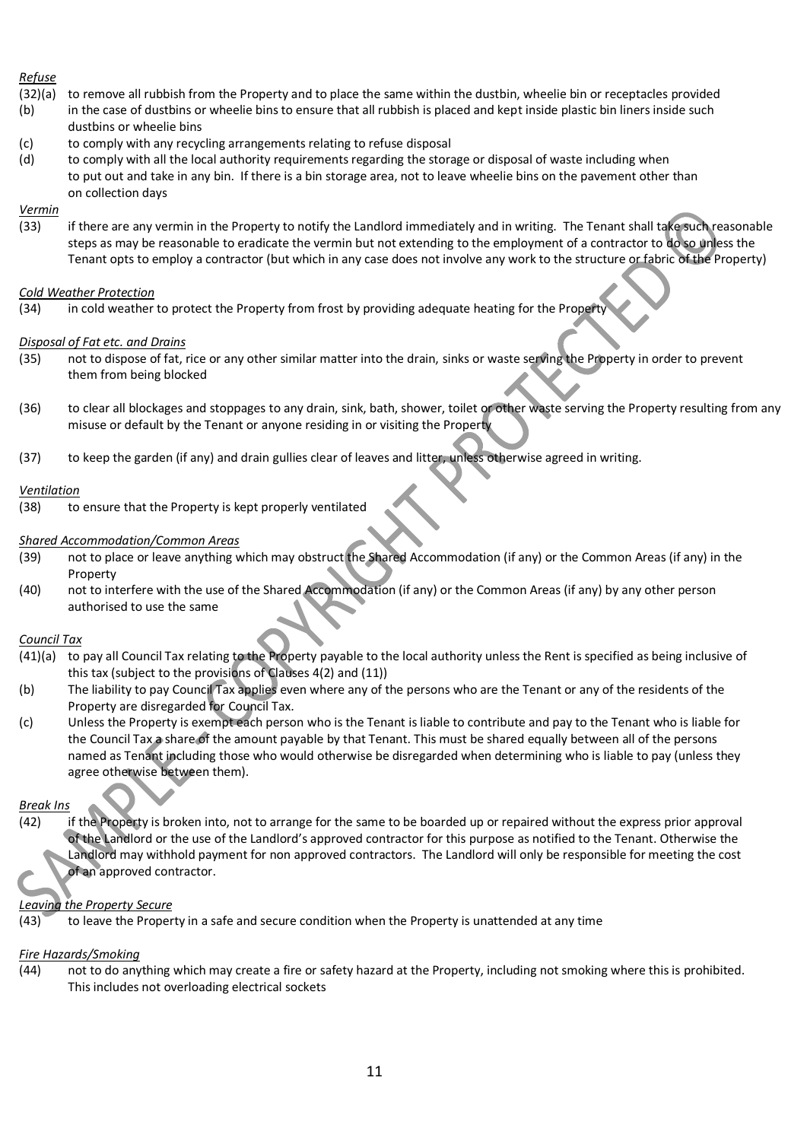# *Refuse*

- (32)(a) to remove all rubbish from the Property and to place the same within the dustbin, wheelie bin or receptacles provided
- (b) in the case of dustbins or wheelie bins to ensure that all rubbish is placed and kept inside plastic bin liners inside such dustbins or wheelie bins
- (c) to comply with any recycling arrangements relating to refuse disposal
- (d) to comply with all the local authority requirements regarding the storage or disposal of waste including when to put out and take in any bin. If there is a bin storage area, not to leave wheelie bins on the pavement other than on collection days

# *Vermin*

(33) if there are any vermin in the Property to notify the Landlord immediately and in writing. The Tenant shall take such reasonable steps as may be reasonable to eradicate the vermin but not extending to the employment of a contractor to do so unless the Tenant opts to employ a contractor (but which in any case does not involve any work to the structure or fabric of the Property)

#### *Cold Weather Protection*

(34) in cold weather to protect the Property from frost by providing adequate heating for the Proper

#### *Disposal of Fat etc. and Drains*

- (35) not to dispose of fat, rice or any other similar matter into the drain, sinks or waste serving the Property in order to prevent them from being blocked
- (36) to clear all blockages and stoppages to any drain, sink, bath, shower, toilet or other waste serving the Property resulting from any misuse or default by the Tenant or anyone residing in or visiting the Property
- (37) to keep the garden (if any) and drain gullies clear of leaves and litter, unless otherwise agreed in writing.

#### *Ventilation*

(38) to ensure that the Property is kept properly ventilated

#### *Shared Accommodation/Common Areas*

- (39) not to place or leave anything which may obstruct the Shared Accommodation (if any) or the Common Areas (if any) in the Property
- (40) not to interfere with the use of the Shared Accommodation (if any) or the Common Areas (if any) by any other person authorised to use the same

#### *Council Tax*

- (41)(a) to pay all Council Tax relating to the Property payable to the local authority unless the Rent is specified as being inclusive of this tax (subject to the provisions of Clauses 4(2) and (11))
- (b) The liability to pay Council Tax applies even where any of the persons who are the Tenant or any of the residents of the Property are disregarded for Council Tax.
- (c) Unless the Property is exempt each person who is the Tenant is liable to contribute and pay to the Tenant who is liable for the Council Tax a share of the amount payable by that Tenant. This must be shared equally between all of the persons named as Tenant including those who would otherwise be disregarded when determining who is liable to pay (unless they agree otherwise between them).

# *Break Ins*

(42) if the Property is broken into, not to arrange for the same to be boarded up or repaired without the express prior approval of the Landlord or the use of the Landlord's approved contractor for this purpose as notified to the Tenant. Otherwise the Landlord may withhold payment for non approved contractors. The Landlord will only be responsible for meeting the cost of an approved contractor.

# *Leaving the Property Secure*

(43) to leave the Property in a safe and secure condition when the Property is unattended at any time

# *Fire Hazards/Smoking*

(44) not to do anything which may create a fire or safety hazard at the Property, including not smoking where this is prohibited. This includes not overloading electrical sockets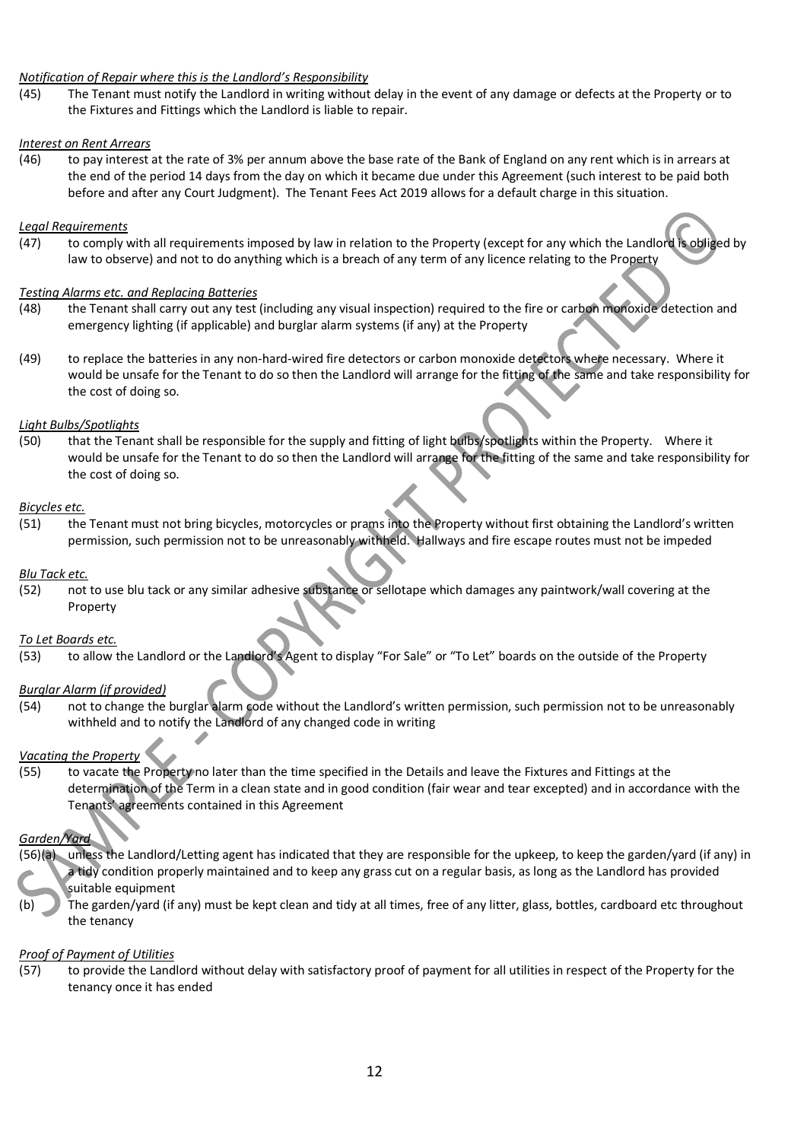#### *Notification of Repair where this is the Landlord's Responsibility*

(45) The Tenant must notify the Landlord in writing without delay in the event of any damage or defects at the Property or to the Fixtures and Fittings which the Landlord is liable to repair.

#### *Interest on Rent Arrears*

(46) to pay interest at the rate of 3% per annum above the base rate of the Bank of England on any rent which is in arrears at the end of the period 14 days from the day on which it became due under this Agreement (such interest to be paid both before and after any Court Judgment). The Tenant Fees Act 2019 allows for a default charge in this situation.

#### *Legal Requirements*

(47) to comply with all requirements imposed by law in relation to the Property (except for any which the Landlord is obliged by law to observe) and not to do anything which is a breach of any term of any licence relating to the Property

#### *Testing Alarms etc. and Replacing Batteries*

- (48) the Tenant shall carry out any test (including any visual inspection) required to the fire or carbon monoxide detection and emergency lighting (if applicable) and burglar alarm systems (if any) at the Property
- (49) to replace the batteries in any non-hard-wired fire detectors or carbon monoxide detectors where necessary. Where it would be unsafe for the Tenant to do so then the Landlord will arrange for the fitting of the same and take responsibility for the cost of doing so.

#### *Light Bulbs/Spotlights*

(50) that the Tenant shall be responsible for the supply and fitting of light bulbs/spotlights within the Property. Where it would be unsafe for the Tenant to do so then the Landlord will arrange for the fitting of the same and take responsibility for the cost of doing so.

#### *Bicycles etc.*

(51) the Tenant must not bring bicycles, motorcycles or prams into the Property without first obtaining the Landlord's written permission, such permission not to be unreasonably withheld. Hallways and fire escape routes must not be impeded

#### *Blu Tack etc.*

(52) not to use blu tack or any similar adhesive substance or sellotape which damages any paintwork/wall covering at the Property

#### *To Let Boards etc.*

(53) to allow the Landlord or the Landlord's Agent to display "For Sale" or "To Let" boards on the outside of the Property

# *Burglar Alarm (if provided)*

(54) not to change the burglar alarm code without the Landlord's written permission, such permission not to be unreasonably withheld and to notify the Landlord of any changed code in writing

# *Vacating the Property*

(55) to vacate the Property no later than the time specified in the Details and leave the Fixtures and Fittings at the determination of the Term in a clean state and in good condition (fair wear and tear excepted) and in accordance with the Tenants' agreements contained in this Agreement

# *Garden/Yard*

- (56)(a) unless the Landlord/Letting agent has indicated that they are responsible for the upkeep, to keep the garden/yard (if any) in a tidy condition properly maintained and to keep any grass cut on a regular basis, as long as the Landlord has provided suitable equipment
- (b) The garden/yard (if any) must be kept clean and tidy at all times, free of any litter, glass, bottles, cardboard etc throughout the tenancy

#### *Proof of Payment of Utilities*

(57) to provide the Landlord without delay with satisfactory proof of payment for all utilities in respect of the Property for the tenancy once it has ended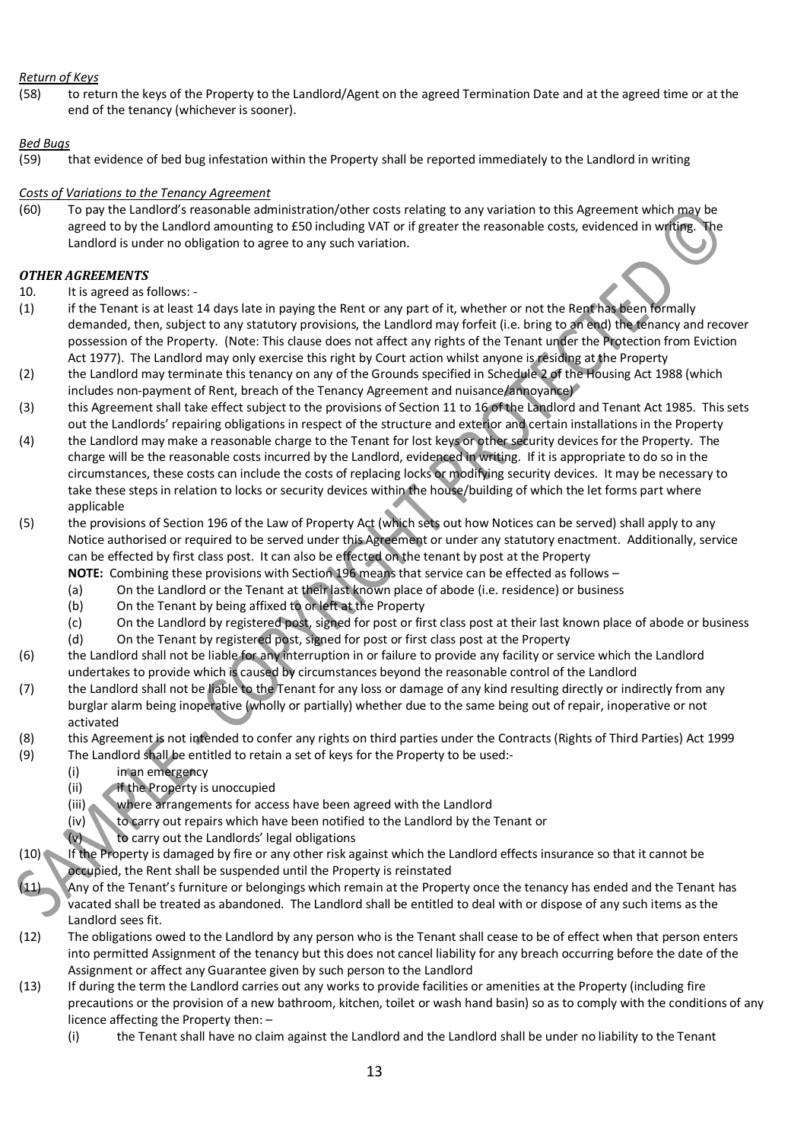# *Return of Keys*

(58) to return the keys of the Property to the Landlord/Agent on the agreed Termination Date and at the agreed time or at the end of the tenancy (whichever is sooner).

# *Bed Bugs*

(59) that evidence of bed bug infestation within the Property shall be reported immediately to the Landlord in writing

# *Costs of Variations to the Tenancy Agreement*

(60) To pay the Landlord's reasonable administration/other costs relating to any variation to this Agreement which may be agreed to by the Landlord amounting to £50 including VAT or if greater the reasonable costs, evidenced in writing. The Landlord is under no obligation to agree to any such variation.

# *OTHER AGREEMENTS*

- 10. It is agreed as follows: -
- (1) if the Tenant is at least 14 days late in paying the Rent or any part of it, whether or not the Rent has been formally demanded, then, subject to any statutory provisions, the Landlord may forfeit (i.e. bring to an end) the tenancy and recover possession of the Property. (Note: This clause does not affect any rights of the Tenant under the Protection from Eviction Act 1977). The Landlord may only exercise this right by Court action whilst anyone is residing at the Property
- (2) the Landlord may terminate this tenancy on any of the Grounds specified in Schedule 2 of the Housing Act 1988 (which includes non-payment of Rent, breach of the Tenancy Agreement and nuisance/annoyance)
- (3) this Agreement shall take effect subject to the provisions of Section 11 to 16 of the Landlord and Tenant Act 1985. This sets out the Landlords' repairing obligations in respect of the structure and exterior and certain installations in the Property
- (4) the Landlord may make a reasonable charge to the Tenant for lost keys or other security devices for the Property. The charge will be the reasonable costs incurred by the Landlord, evidenced in writing. If it is appropriate to do so in the circumstances, these costs can include the costs of replacing locks or modifying security devices. It may be necessary to take these steps in relation to locks or security devices within the house/building of which the let forms part where applicable
- (5) the provisions of Section 196 of the Law of Property Act (which sets out how Notices can be served) shall apply to any Notice authorised or required to be served under this Agreement or under any statutory enactment. Additionally, service can be effected by first class post. It can also be effected on the tenant by post at the Property **NOTE:** Combining these provisions with Section 196 means that service can be effected as follows –

- (a) On the Landlord or the Tenant at their last known place of abode (i.e. residence) or business
- (b) On the Tenant by being affixed to or left at the Property
- (c) On the Landlord by registered post, signed for post or first class post at their last known place of abode or business
- (d) On the Tenant by registered post, signed for post or first class post at the Property
- (6) the Landlord shall not be liable for any interruption in or failure to provide any facility or service which the Landlord undertakes to provide which is caused by circumstances beyond the reasonable control of the Landlord
- (7) the Landlord shall not be liable to the Tenant for any loss or damage of any kind resulting directly or indirectly from any burglar alarm being inoperative (wholly or partially) whether due to the same being out of repair, inoperative or not activated
- (8) this Agreement is not intended to confer any rights on third parties under the Contracts (Rights of Third Parties) Act 1999
- (9) The Landlord shall be entitled to retain a set of keys for the Property to be used:-
	- (i) in an emergency
	- (ii) if the Property is unoccupied
	- (iii) where arrangements for access have been agreed with the Landlord
	- (iv) to carry out repairs which have been notified to the Landlord by the Tenant or
	- (v) to carry out the Landlords' legal obligations
- $(10)$  If the Property is damaged by fire or any other risk against which the Landlord effects insurance so that it cannot be occupied, the Rent shall be suspended until the Property is reinstated
- Any of the Tenant's furniture or belongings which remain at the Property once the tenancy has ended and the Tenant has vacated shall be treated as abandoned. The Landlord shall be entitled to deal with or dispose of any such items as the Landlord sees fit.
- (12) The obligations owed to the Landlord by any person who is the Tenant shall cease to be of effect when that person enters into permitted Assignment of the tenancy but this does not cancel liability for any breach occurring before the date of the Assignment or affect any Guarantee given by such person to the Landlord
- (13) If during the term the Landlord carries out any works to provide facilities or amenities at the Property (including fire precautions or the provision of a new bathroom, kitchen, toilet or wash hand basin) so as to comply with the conditions of any licence affecting the Property then: –
	- (i) the Tenant shall have no claim against the Landlord and the Landlord shall be under no liability to the Tenant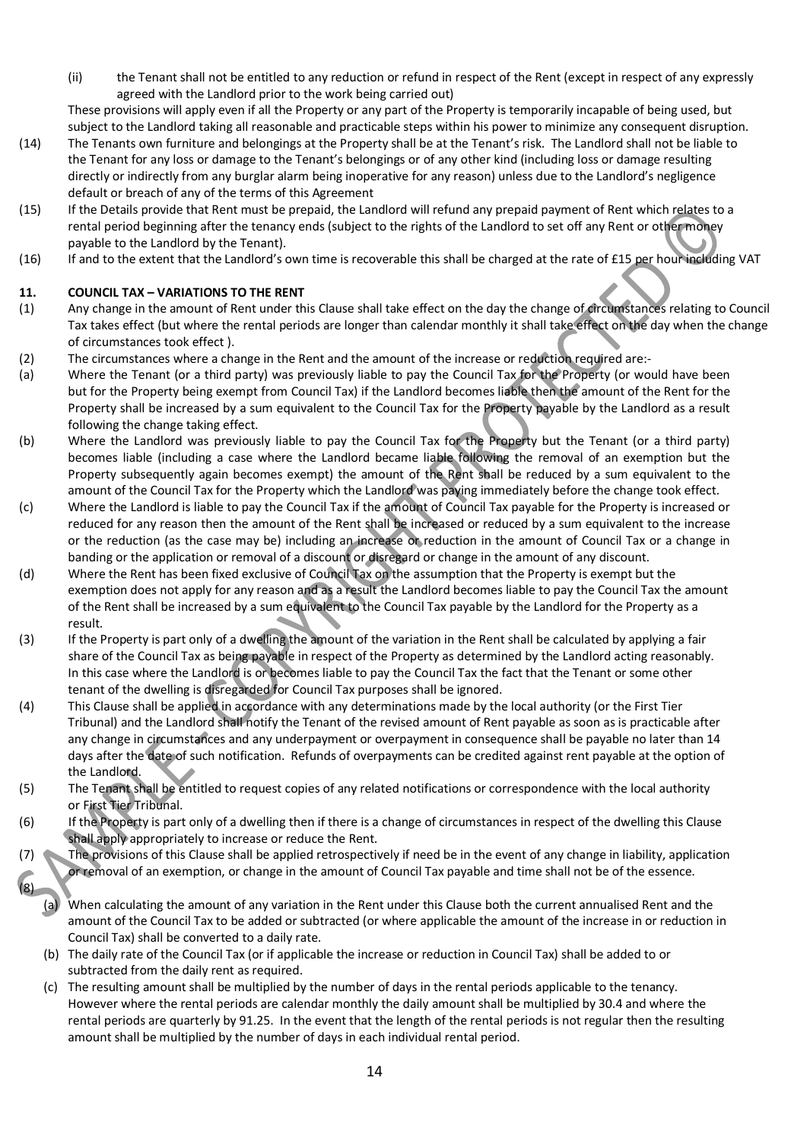(ii) the Tenant shall not be entitled to any reduction or refund in respect of the Rent (except in respect of any expressly agreed with the Landlord prior to the work being carried out)

These provisions will apply even if all the Property or any part of the Property is temporarily incapable of being used, but subject to the Landlord taking all reasonable and practicable steps within his power to minimize any consequent disruption.

- (14) The Tenants own furniture and belongings at the Property shall be at the Tenant's risk. The Landlord shall not be liable to the Tenant for any loss or damage to the Tenant's belongings or of any other kind (including loss or damage resulting directly or indirectly from any burglar alarm being inoperative for any reason) unless due to the Landlord's negligence default or breach of any of the terms of this Agreement
- (15) If the Details provide that Rent must be prepaid, the Landlord will refund any prepaid payment of Rent which relates to a rental period beginning after the tenancy ends (subject to the rights of the Landlord to set off any Rent or other money payable to the Landlord by the Tenant).
- (16) If and to the extent that the Landlord's own time is recoverable this shall be charged at the rate of £15 per hour including VAT

# **11. COUNCIL TAX – VARIATIONS TO THE RENT**

- (1) Any change in the amount of Rent under this Clause shall take effect on the day the change of circumstances relating to Council Tax takes effect (but where the rental periods are longer than calendar monthly it shall take effect on the day when the change of circumstances took effect ).
- (2) The circumstances where a change in the Rent and the amount of the increase or reduction required are:-
- (a) Where the Tenant (or a third party) was previously liable to pay the Council Tax for the Property (or would have been but for the Property being exempt from Council Tax) if the Landlord becomes liable then the amount of the Rent for the Property shall be increased by a sum equivalent to the Council Tax for the Property payable by the Landlord as a result following the change taking effect.
- (b) Where the Landlord was previously liable to pay the Council Tax for the Property but the Tenant (or a third party) becomes liable (including a case where the Landlord became liable following the removal of an exemption but the Property subsequently again becomes exempt) the amount of the Rent shall be reduced by a sum equivalent to the amount of the Council Tax for the Property which the Landlord was paying immediately before the change took effect.
- (c) Where the Landlord is liable to pay the Council Tax if the amount of Council Tax payable for the Property is increased or reduced for any reason then the amount of the Rent shall be increased or reduced by a sum equivalent to the increase or the reduction (as the case may be) including an increase or reduction in the amount of Council Tax or a change in banding or the application or removal of a discount or disregard or change in the amount of any discount.
- (d) Where the Rent has been fixed exclusive of Council Tax on the assumption that the Property is exempt but the exemption does not apply for any reason and as a result the Landlord becomes liable to pay the Council Tax the amount of the Rent shall be increased by a sum equivalent to the Council Tax payable by the Landlord for the Property as a result.
- (3) If the Property is part only of a dwelling the amount of the variation in the Rent shall be calculated by applying a fair share of the Council Tax as being payable in respect of the Property as determined by the Landlord acting reasonably. In this case where the Landlord is or becomes liable to pay the Council Tax the fact that the Tenant or some other tenant of the dwelling is disregarded for Council Tax purposes shall be ignored.
- (4) This Clause shall be applied in accordance with any determinations made by the local authority (or the First Tier Tribunal) and the Landlord shall notify the Tenant of the revised amount of Rent payable as soon as is practicable after any change in circumstances and any underpayment or overpayment in consequence shall be payable no later than 14 days after the date of such notification. Refunds of overpayments can be credited against rent payable at the option of the Landlond.
- (5) The Tenant shall be entitled to request copies of any related notifications or correspondence with the local authority or First Tier Tribunal.
- (6) If the Property is part only of a dwelling then if there is a change of circumstances in respect of the dwelling this Clause shall apply appropriately to increase or reduce the Rent.
- (7) The provisions of this Clause shall be applied retrospectively if need be in the event of any change in liability, application or removal of an exemption, or change in the amount of Council Tax payable and time shall not be of the essence.  $(8)$ 
	- (a) When calculating the amount of any variation in the Rent under this Clause both the current annualised Rent and the amount of the Council Tax to be added or subtracted (or where applicable the amount of the increase in or reduction in Council Tax) shall be converted to a daily rate.
	- (b) The daily rate of the Council Tax (or if applicable the increase or reduction in Council Tax) shall be added to or subtracted from the daily rent as required.
	- (c) The resulting amount shall be multiplied by the number of days in the rental periods applicable to the tenancy. However where the rental periods are calendar monthly the daily amount shall be multiplied by 30.4 and where the rental periods are quarterly by 91.25. In the event that the length of the rental periods is not regular then the resulting amount shall be multiplied by the number of days in each individual rental period.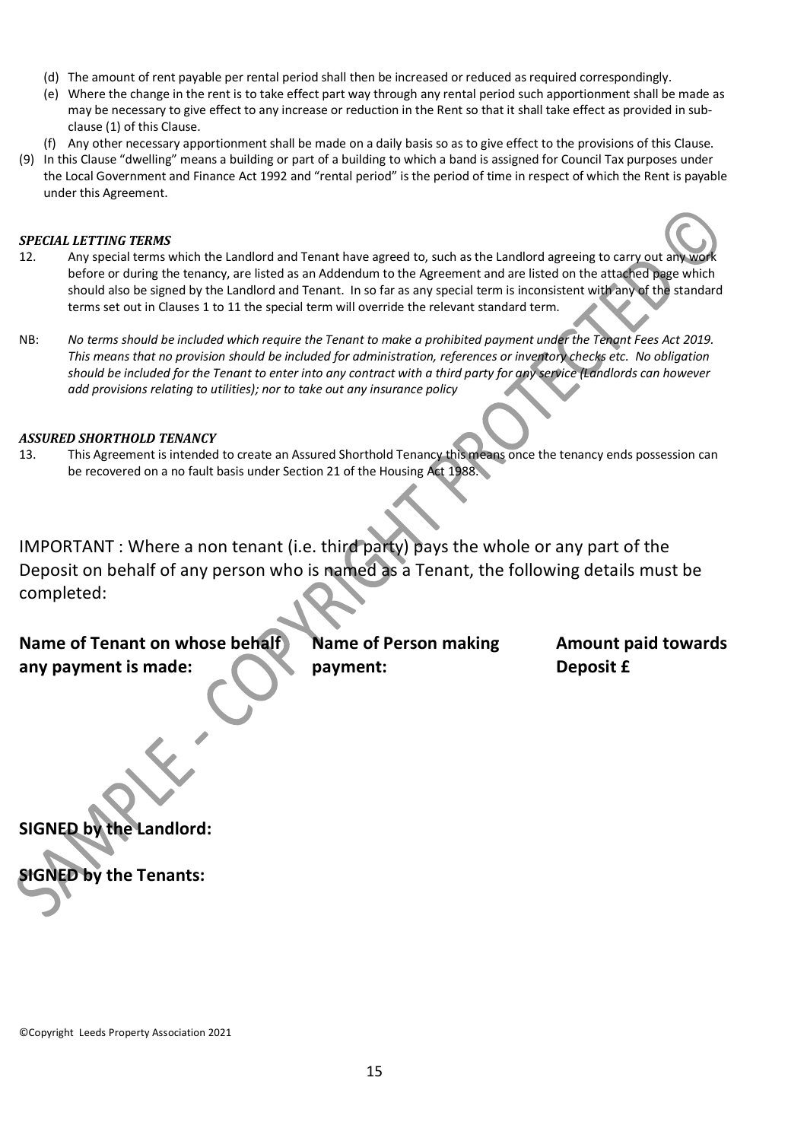- (d) The amount of rent payable per rental period shall then be increased or reduced as required correspondingly.
- (e) Where the change in the rent is to take effect part way through any rental period such apportionment shall be made as may be necessary to give effect to any increase or reduction in the Rent so that it shall take effect as provided in subclause (1) of this Clause.
- (f) Any other necessary apportionment shall be made on a daily basis so as to give effect to the provisions of this Clause.
- (9) In this Clause "dwelling" means a building or part of a building to which a band is assigned for Council Tax purposes under the Local Government and Finance Act 1992 and "rental period" is the period of time in respect of which the Rent is payable under this Agreement.

#### *SPECIAL LETTING TERMS*

- 12. Any special terms which the Landlord and Tenant have agreed to, such as the Landlord agreeing to carry out any work before or during the tenancy, are listed as an Addendum to the Agreement and are listed on the attached page which should also be signed by the Landlord and Tenant. In so far as any special term is inconsistent with any of the standard terms set out in Clauses 1 to 11 the special term will override the relevant standard term.
- NB: No terms should be included which require the Tenant to make a prohibited payment under the Tenant Fees Act 2019. *This means that no provision should be included for administration, references or inventory checks etc. No obligation should be included for the Tenant to enter into any contract with a third party for any service (Landlords can however add provisions relating to utilities); nor to take out any insurance policy*

#### *ASSURED SHORTHOLD TENANCY*

13. This Agreement is intended to create an Assured Shorthold Tenancy this means once the tenancy ends possession can be recovered on a no fault basis under Section 21 of the Housing Act 1988.

IMPORTANT : Where a non tenant (i.e. third party) pays the whole or any part of the Deposit on behalf of any person who is named as a Tenant, the following details must be completed:

# **Name of Tenant on whose behalf Name of Person making has a Amount paid towards any payment is made: payment: Deposit £**

**SIGNED by the Landlord:**

**SIGNED by the Tenants:**

©Copyright Leeds Property Association 2021